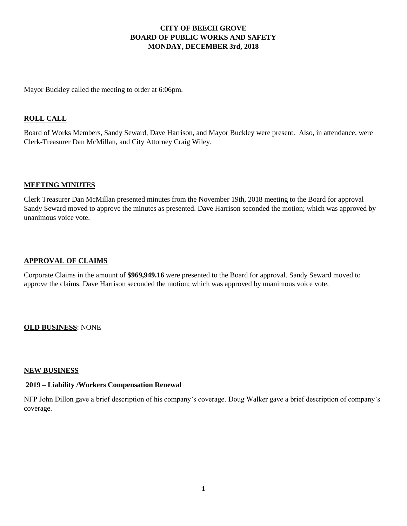## **CITY OF BEECH GROVE BOARD OF PUBLIC WORKS AND SAFETY MONDAY, DECEMBER 3rd, 2018**

Mayor Buckley called the meeting to order at 6:06pm.

## **ROLL CALL**

Board of Works Members, Sandy Seward, Dave Harrison, and Mayor Buckley were present. Also, in attendance, were Clerk-Treasurer Dan McMillan, and City Attorney Craig Wiley.

### **MEETING MINUTES**

Clerk Treasurer Dan McMillan presented minutes from the November 19th, 2018 meeting to the Board for approval Sandy Seward moved to approve the minutes as presented. Dave Harrison seconded the motion; which was approved by unanimous voice vote.

## **APPROVAL OF CLAIMS**

Corporate Claims in the amount of **\$969,949.16** were presented to the Board for approval. Sandy Seward moved to approve the claims. Dave Harrison seconded the motion; which was approved by unanimous voice vote.

### **OLD BUSINESS**: NONE

#### **NEW BUSINESS**

## **2019 – Liability /Workers Compensation Renewal**

NFP John Dillon gave a brief description of his company's coverage. Doug Walker gave a brief description of company's coverage.